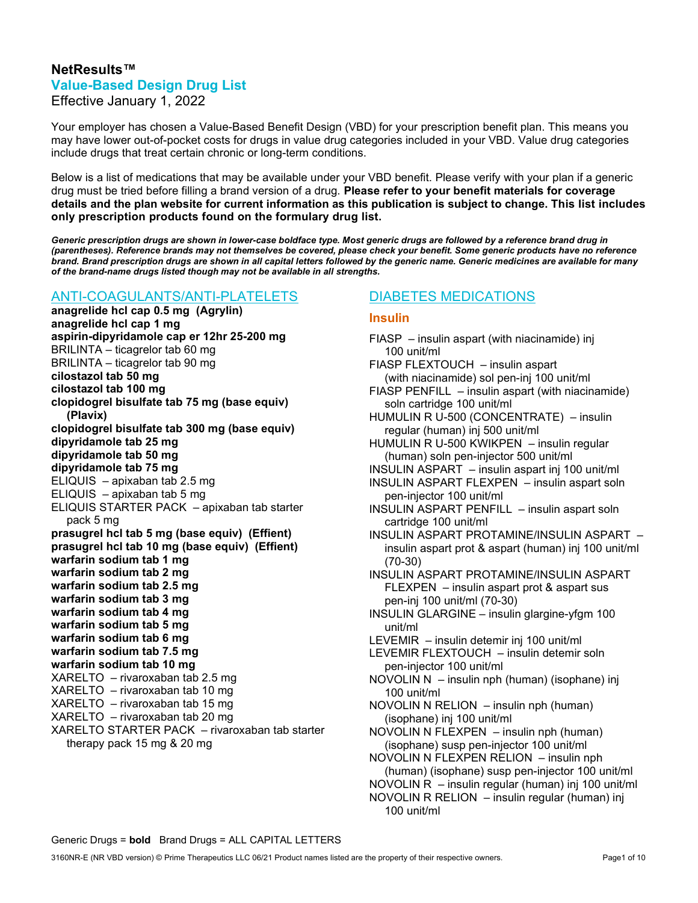# NetResults™ Value-Based Design Drug List

Effective January 1, 2022

Your employer has chosen a Value-Based Benefit Design (VBD) for your prescription benefit plan. This means you may have lower out-of-pocket costs for drugs in value drug categories included in your VBD. Value drug categories include drugs that treat certain chronic or long-term conditions.

Below is a list of medications that may be available under your VBD benefit. Please verify with your plan if a generic drug must be tried before filling a brand version of a drug. Please refer to your benefit materials for coverage details and the plan website for current information as this publication is subject to change. This list includes only prescription products found on the formulary drug list.

Generic prescription drugs are shown in lower-case boldface type. Most generic drugs are followed by a reference brand drug in (parentheses). Reference brands may not themselves be covered, please check your benefit. Some generic products have no reference brand. Brand prescription drugs are shown in all capital letters followed by the generic name. Generic medicines are available for many of the brand-name drugs listed though may not be available in all strengths.

# ANTI-COAGULANTS/ANTI-PLATELETS

anagrelide hcl cap 0.5 mg (Agrylin) anagrelide hcl cap 1 mg aspirin-dipyridamole cap er 12hr 25-200 mg BRILINTA – ticagrelor tab 60 mg BRILINTA – ticagrelor tab 90 mg cilostazol tab 50 mg cilostazol tab 100 mg clopidogrel bisulfate tab 75 mg (base equiv) (Plavix) clopidogrel bisulfate tab 300 mg (base equiv) dipyridamole tab 25 mg dipyridamole tab 50 mg dipyridamole tab 75 mg ELIQUIS – apixaban tab 2.5 mg ELIQUIS – apixaban tab 5 mg ELIQUIS STARTER PACK – apixaban tab starter pack 5 mg prasugrel hcl tab 5 mg (base equiv) (Effient) prasugrel hcl tab 10 mg (base equiv) (Effient) warfarin sodium tab 1 mg warfarin sodium tab 2 mg warfarin sodium tab 2.5 mg warfarin sodium tab 3 mg warfarin sodium tab 4 mg warfarin sodium tab 5 mg warfarin sodium tab 6 mg warfarin sodium tab 7.5 mg warfarin sodium tab 10 mg XARELTO – rivaroxaban tab 2.5 mg XARELTO – rivaroxaban tab 10 mg XARELTO – rivaroxaban tab 15 mg XARELTO – rivaroxaban tab 20 mg XARELTO STARTER PACK – rivaroxaban tab starter therapy pack 15 mg & 20 mg

# DIABETES MEDICATIONS

#### Insulin

FIASP – insulin aspart (with niacinamide) inj 100 unit/ml FIASP FLEXTOUCH – insulin aspart (with niacinamide) sol pen-inj 100 unit/ml FIASP PENFILL – insulin aspart (with niacinamide) soln cartridge 100 unit/ml HUMULIN R U-500 (CONCENTRATE) – insulin regular (human) inj 500 unit/ml HUMULIN R U-500 KWIKPEN – insulin regular (human) soln pen-injector 500 unit/ml INSULIN ASPART – insulin aspart inj 100 unit/ml INSULIN ASPART FLEXPEN – insulin aspart soln pen-injector 100 unit/ml INSULIN ASPART PENFILL – insulin aspart soln cartridge 100 unit/ml INSULIN ASPART PROTAMINE/INSULIN ASPART – insulin aspart prot & aspart (human) inj 100 unit/ml (70-30) INSULIN ASPART PROTAMINE/INSULIN ASPART FLEXPEN – insulin aspart prot & aspart sus pen-inj 100 unit/ml (70-30) INSULIN GLARGINE – insulin glargine-yfgm 100 unit/ml LEVEMIR – insulin detemir inj 100 unit/ml LEVEMIR FLEXTOUCH – insulin detemir soln pen-injector 100 unit/ml NOVOLIN N – insulin nph (human) (isophane) inj 100 unit/ml NOVOLIN N RELION – insulin nph (human) (isophane) inj 100 unit/ml NOVOLIN N FLEXPEN – insulin nph (human) (isophane) susp pen-injector 100 unit/ml NOVOLIN N FLEXPEN RELION – insulin nph (human) (isophane) susp pen-injector 100 unit/ml NOVOLIN R – insulin regular (human) inj 100 unit/ml NOVOLIN R RELION – insulin regular (human) inj 100 unit/ml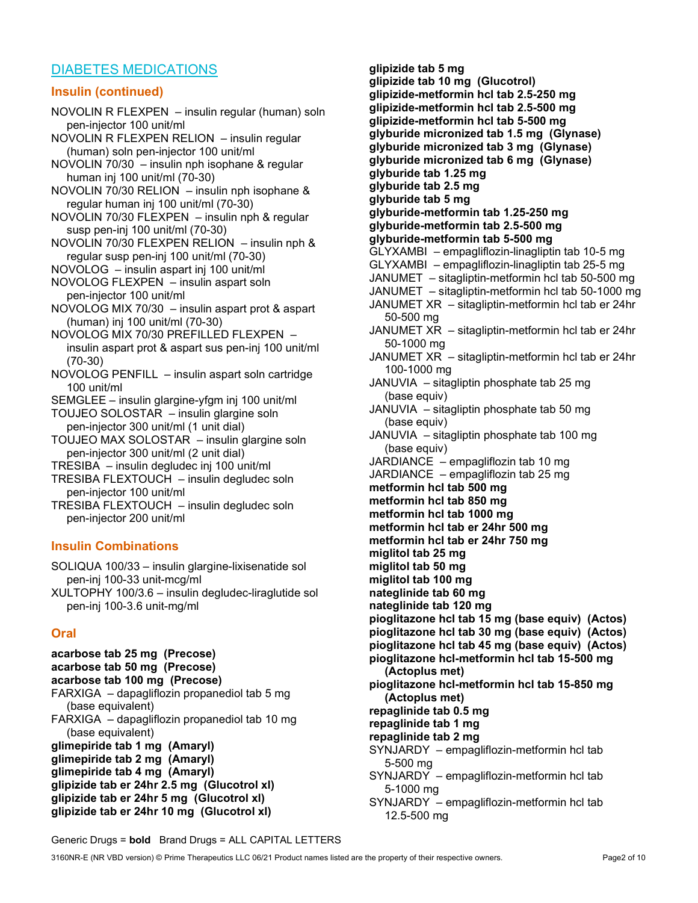## DIABETES MEDICATIONS

#### Insulin (continued)

NOVOLIN R FLEXPEN – insulin regular (human) soln pen-injector 100 unit/ml NOVOLIN R FLEXPEN RELION – insulin regular (human) soln pen-injector 100 unit/ml NOVOLIN 70/30 – insulin nph isophane & regular human inj 100 unit/ml (70-30) NOVOLIN 70/30 RELION – insulin nph isophane & regular human inj 100 unit/ml (70-30) NOVOLIN 70/30 FLEXPEN – insulin nph & regular susp pen-inj 100 unit/ml (70-30) NOVOLIN 70/30 FLEXPEN RELION – insulin nph & regular susp pen-inj 100 unit/ml (70-30) NOVOLOG – insulin aspart inj 100 unit/ml NOVOLOG FLEXPEN – insulin aspart soln pen-injector 100 unit/ml NOVOLOG MIX 70/30 – insulin aspart prot & aspart (human) inj 100 unit/ml (70-30) NOVOLOG MIX 70/30 PREFILLED FLEXPEN – insulin aspart prot & aspart sus pen-inj 100 unit/ml (70-30) NOVOLOG PENFILL – insulin aspart soln cartridge 100 unit/ml SEMGLEE – insulin glargine-yfgm inj 100 unit/ml TOUJEO SOLOSTAR – insulin glargine soln pen-injector 300 unit/ml (1 unit dial) TOUJEO MAX SOLOSTAR – insulin glargine soln pen-injector 300 unit/ml (2 unit dial) TRESIBA – insulin degludec inj 100 unit/ml TRESIBA FLEXTOUCH – insulin degludec soln pen-injector 100 unit/ml TRESIBA FLEXTOUCH – insulin degludec soln pen-injector 200 unit/ml

#### Insulin Combinations

SOLIQUA 100/33 – insulin glargine-lixisenatide sol pen-inj 100-33 unit-mcg/ml

XULTOPHY 100/3.6 – insulin degludec-liraglutide sol pen-inj 100-3.6 unit-mg/ml

#### **Oral**

acarbose tab 25 mg (Precose) acarbose tab 50 mg (Precose) acarbose tab 100 mg (Precose) FARXIGA – dapagliflozin propanediol tab 5 mg (base equivalent) FARXIGA – dapagliflozin propanediol tab 10 mg (base equivalent) glimepiride tab 1 mg (Amaryl) glimepiride tab 2 mg (Amaryl) glimepiride tab 4 mg (Amaryl) glipizide tab er 24hr 2.5 mg (Glucotrol xl) glipizide tab er 24hr 5 mg (Glucotrol xl) glipizide tab er 24hr 10 mg (Glucotrol xl)

glipizide tab 5 mg glipizide tab 10 mg (Glucotrol) glipizide-metformin hcl tab 2.5-250 mg glipizide-metformin hcl tab 2.5-500 mg glipizide-metformin hcl tab 5-500 mg glyburide micronized tab 1.5 mg (Glynase) glyburide micronized tab 3 mg (Glynase) glyburide micronized tab 6 mg (Glynase) glyburide tab 1.25 mg glyburide tab 2.5 mg glyburide tab 5 mg glyburide-metformin tab 1.25-250 mg glyburide-metformin tab 2.5-500 mg glyburide-metformin tab 5-500 mg GLYXAMBI – empagliflozin-linagliptin tab 10-5 mg GLYXAMBI – empagliflozin-linagliptin tab 25-5 mg JANUMET – sitagliptin-metformin hcl tab 50-500 mg JANUMET – sitagliptin-metformin hcl tab 50-1000 mg JANUMET XR – sitagliptin-metformin hcl tab er 24hr 50-500 mg JANUMET XR – sitagliptin-metformin hcl tab er 24hr 50-1000 mg JANUMET XR – sitagliptin-metformin hcl tab er 24hr 100-1000 mg JANUVIA – sitagliptin phosphate tab 25 mg (base equiv) JANUVIA – sitagliptin phosphate tab 50 mg (base equiv) JANUVIA – sitagliptin phosphate tab 100 mg (base equiv) JARDIANCE – empagliflozin tab 10 mg JARDIANCE – empagliflozin tab 25 mg metformin hcl tab 500 mg metformin hcl tab 850 mg metformin hcl tab 1000 mg metformin hcl tab er 24hr 500 mg metformin hcl tab er 24hr 750 mg miglitol tab 25 mg miglitol tab 50 mg miglitol tab 100 mg nateglinide tab 60 mg nateglinide tab 120 mg pioglitazone hcl tab 15 mg (base equiv) (Actos) pioglitazone hcl tab 30 mg (base equiv) (Actos) pioglitazone hcl tab 45 mg (base equiv) (Actos) pioglitazone hcl-metformin hcl tab 15-500 mg (Actoplus met) pioglitazone hcl-metformin hcl tab 15-850 mg (Actoplus met) repaglinide tab 0.5 mg repaglinide tab 1 mg repaglinide tab 2 mg SYNJARDY – empagliflozin-metformin hcl tab 5-500 mg SYNJARDY – empagliflozin-metformin hcl tab 5-1000 mg SYNJARDY – empagliflozin-metformin hcl tab 12.5-500 mg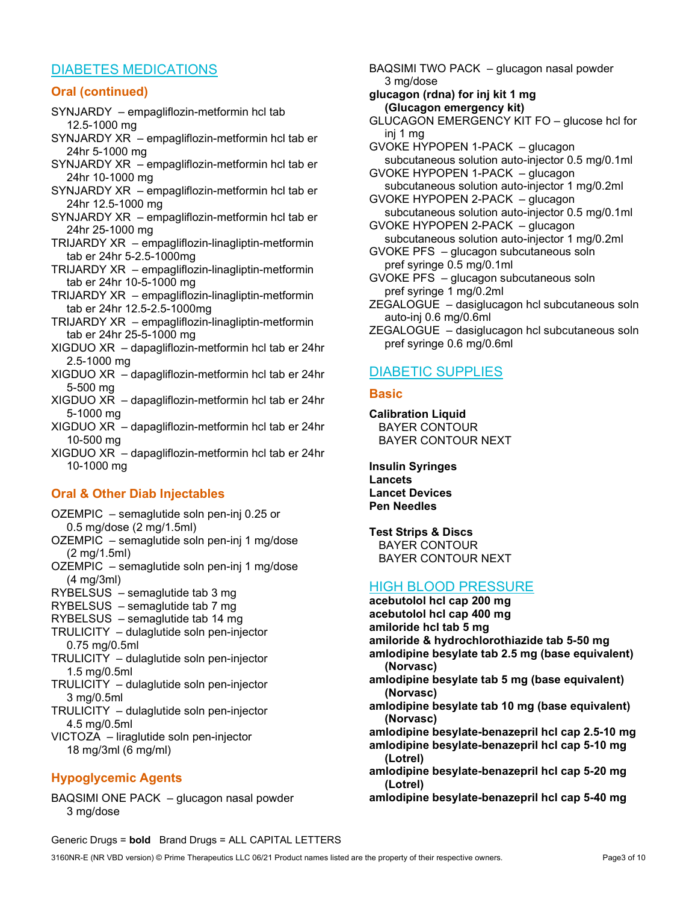# DIABETES MEDICATIONS

### Oral (continued)

- SYNJARDY empagliflozin-metformin hcl tab 12.5-1000 mg
- SYNJARDY XR empagliflozin-metformin hcl tab er 24hr 5-1000 mg
- SYNJARDY XR empagliflozin-metformin hcl tab er 24hr 10-1000 mg
- SYNJARDY XR empagliflozin-metformin hcl tab er 24hr 12.5-1000 mg
- SYNJARDY XR empagliflozin-metformin hcl tab er 24hr 25-1000 mg
- TRIJARDY XR empagliflozin-linagliptin-metformin tab er 24hr 5-2.5-1000mg
- TRIJARDY XR empagliflozin-linagliptin-metformin tab er 24hr 10-5-1000 mg
- TRIJARDY XR empagliflozin-linagliptin-metformin tab er 24hr 12.5-2.5-1000mg
- TRIJARDY XR empagliflozin-linagliptin-metformin tab er 24hr 25-5-1000 mg
- XIGDUO XR dapagliflozin-metformin hcl tab er 24hr 2.5-1000 mg
- XIGDUO XR dapagliflozin-metformin hcl tab er 24hr 5-500 mg
- XIGDUO XR dapagliflozin-metformin hcl tab er 24hr 5-1000 mg
- XIGDUO XR dapagliflozin-metformin hcl tab er 24hr 10-500 mg
- XIGDUO XR dapagliflozin-metformin hcl tab er 24hr 10-1000 mg

# Oral & Other Diab Injectables

- OZEMPIC semaglutide soln pen-inj 0.25 or 0.5 mg/dose (2 mg/1.5ml)
- OZEMPIC semaglutide soln pen-inj 1 mg/dose (2 mg/1.5ml)
- OZEMPIC semaglutide soln pen-inj 1 mg/dose (4 mg/3ml)
- RYBELSUS semaglutide tab 3 mg
- RYBELSUS semaglutide tab 7 mg
- RYBELSUS semaglutide tab 14 mg
- TRULICITY dulaglutide soln pen-injector 0.75 mg/0.5ml
- TRULICITY dulaglutide soln pen-injector 1.5 mg/0.5ml
- TRULICITY dulaglutide soln pen-injector 3 mg/0.5ml
- TRULICITY dulaglutide soln pen-injector 4.5 mg/0.5ml
- VICTOZA liraglutide soln pen-injector 18 mg/3ml (6 mg/ml)

# Hypoglycemic Agents

BAQSIMI ONE PACK – glucagon nasal powder 3 mg/dose

- BAQSIMI TWO PACK glucagon nasal powder 3 mg/dose
- glucagon (rdna) for inj kit 1 mg (Glucagon emergency kit)
- GLUCAGON EMERGENCY KIT FO glucose hcl for inj 1 mg
- GVOKE HYPOPEN 1-PACK glucagon subcutaneous solution auto-injector 0.5 mg/0.1ml GVOKE HYPOPEN 1-PACK – glucagon
- subcutaneous solution auto-injector 1 mg/0.2ml GVOKE HYPOPEN 2-PACK – glucagon
- subcutaneous solution auto-injector 0.5 mg/0.1ml GVOKE HYPOPEN 2-PACK – glucagon
- subcutaneous solution auto-injector 1 mg/0.2ml
- GVOKE PFS glucagon subcutaneous soln pref syringe 0.5 mg/0.1ml
- GVOKE PFS glucagon subcutaneous soln pref syringe 1 mg/0.2ml
- ZEGALOGUE dasiglucagon hcl subcutaneous soln auto-inj 0.6 mg/0.6ml
- ZEGALOGUE dasiglucagon hcl subcutaneous soln pref syringe 0.6 mg/0.6ml

# DIABETIC SUPPLIES

#### **Basic**

Calibration Liquid BAYER CONTOUR BAYER CONTOUR NEXT

Insulin Syringes Lancets Lancet Devices Pen Needles

Test Strips & Discs BAYER CONTOUR BAYER CONTOUR NEXT

# HIGH BLOOD PRESSURE

- acebutolol hcl cap 200 mg acebutolol hcl cap 400 mg amiloride hcl tab 5 mg amiloride & hydrochlorothiazide tab 5-50 mg amlodipine besylate tab 2.5 mg (base equivalent) (Norvasc) amlodipine besylate tab 5 mg (base equivalent) (Norvasc) amlodipine besylate tab 10 mg (base equivalent) (Norvasc) amlodipine besylate-benazepril hcl cap 2.5-10 mg amlodipine besylate-benazepril hcl cap 5-10 mg (Lotrel) amlodipine besylate-benazepril hcl cap 5-20 mg (Lotrel)
- amlodipine besylate-benazepril hcl cap 5-40 mg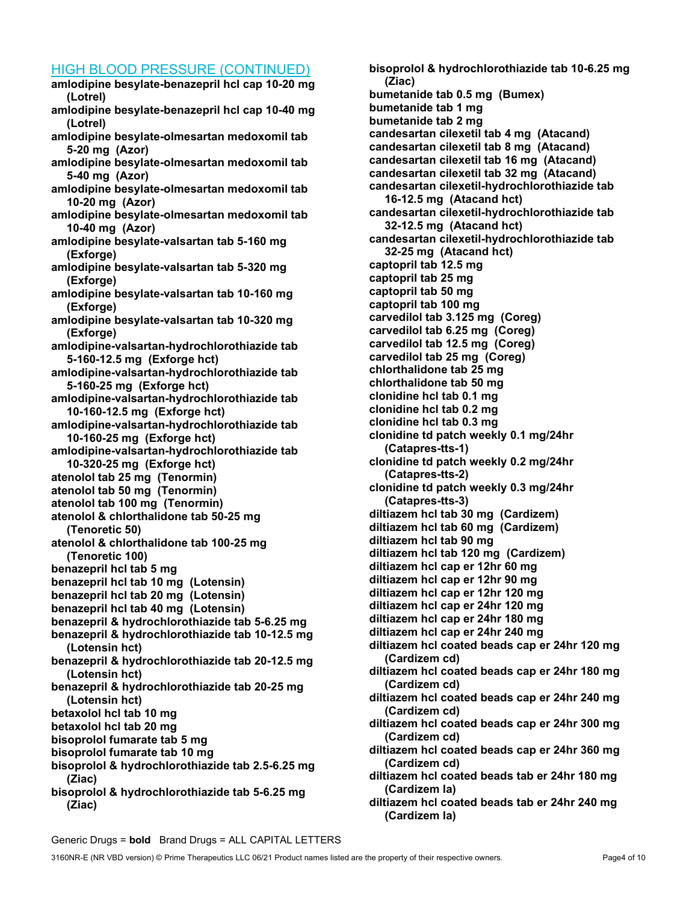### HIGH BLOOD PPESSUPE (CONTINUED)

| <u>11011 DEO OD 1 TIEGOOITE (OONTINOED)</u>                                                       |
|---------------------------------------------------------------------------------------------------|
| amlodipine besylate-benazepril hcl cap 10-20 mg<br>(Lotrel)                                       |
| amlodipine besylate-benazepril hcl cap 10-40 mg<br>(Lotrel)                                       |
| amlodipine besylate-olmesartan medoxomil tab                                                      |
| 5-20 mg (Azor)                                                                                    |
| amlodipine besylate-olmesartan medoxomil tab<br>5-40 mg (Azor)                                    |
| amlodipine besylate-olmesartan medoxomil tab                                                      |
| 10-20 mg (Azor)                                                                                   |
| amlodipine besylate-olmesartan medoxomil tab                                                      |
| 10-40 mg (Azor)                                                                                   |
| amlodipine besylate-valsartan tab 5-160 mg                                                        |
| (Exforge)                                                                                         |
| amlodipine besylate-valsartan tab 5-320 mg                                                        |
| (Exforge)                                                                                         |
| amlodipine besylate-valsartan tab 10-160 mg                                                       |
| (Exforge)                                                                                         |
| amlodipine besylate-valsartan tab 10-320 mg                                                       |
| (Exforge)<br>amlodipine-valsartan-hydrochlorothiazide tab                                         |
| 5-160-12.5 mg (Exforge hct)                                                                       |
| amlodipine-valsartan-hydrochlorothiazide tab                                                      |
| 5-160-25 mg (Exforge hct)                                                                         |
| amlodipine-valsartan-hydrochlorothiazide tab                                                      |
| 10-160-12.5 mg (Exforge hct)                                                                      |
| amlodipine-valsartan-hydrochlorothiazide tab                                                      |
| 10-160-25 mg (Exforge hct)                                                                        |
| amlodipine-valsartan-hydrochlorothiazide tab                                                      |
| 10-320-25 mg (Exforge hct)                                                                        |
| atenolol tab 25 mg (Tenormin)                                                                     |
| atenolol tab 50 mg (Tenormin)                                                                     |
| atenolol tab 100 mg (Tenormin)                                                                    |
| atenolol & chlorthalidone tab 50-25 mg                                                            |
| (Tenoretic 50)                                                                                    |
| atenolol & chlorthalidone tab 100-25 mg                                                           |
| (Tenoretic 100)                                                                                   |
| benazepril hcl tab 5 mg                                                                           |
| benazepril hcl tab 10 mg (Lotensin)                                                               |
| benazepril hcl tab 20 mg (Lotensin)                                                               |
| benazepril hcl tab 40 mg (Lotensin)                                                               |
| benazepril & hydrochlorothiazide tab 5-6.25 mg<br>benazepril & hydrochlorothiazide tab 10-12.5 mg |
| (Lotensin hct)                                                                                    |
| benazepril & hydrochlorothiazide tab 20-12.5 mg                                                   |
| (Lotensin hct)                                                                                    |
| benazepril & hydrochlorothiazide tab 20-25 mg                                                     |
| (Lotensin hct)                                                                                    |
| betaxolol hcl tab 10 mg                                                                           |
| betaxolol hcl tab 20 mg                                                                           |
| bisoprolol fumarate tab 5 mg                                                                      |
| bisoprolol fumarate tab 10 mg                                                                     |
| bisoprolol & hydrochlorothiazide tab 2.5-6.25 mg                                                  |
| (Ziac)                                                                                            |
| bisoprolol & hydrochlorothiazide tab 5-6.25 mg                                                    |
| (Ziac)                                                                                            |

bisoprolol & hydrochlorothiazide tab 10-6.25 mg (Ziac) bumetanide tab 0.5 mg (Bumex) bumetanide tab 1 mg bumetanide tab 2 mg candesartan cilexetil tab 4 mg (Atacand) candesartan cilexetil tab 8 mg (Atacand) candesartan cilexetil tab 16 mg (Atacand) candesartan cilexetil tab 32 mg (Atacand) candesartan cilexetil-hydrochlorothiazide tab 16-12.5 mg (Atacand hct) candesartan cilexetil-hydrochlorothiazide tab 32-12.5 mg (Atacand hct) candesartan cilexetil-hydrochlorothiazide tab 32-25 mg (Atacand hct) captopril tab 12.5 mg captopril tab 25 mg captopril tab 50 mg captopril tab 100 mg carvedilol tab 3.125 mg (Coreg) carvedilol tab 6.25 mg (Coreg) carvedilol tab 12.5 mg (Coreg) carvedilol tab 25 mg (Coreg) chlorthalidone tab 25 mg chlorthalidone tab 50 mg clonidine hcl tab 0.1 mg clonidine hcl tab 0.2 mg clonidine hcl tab 0.3 mg clonidine td patch weekly 0.1 mg/24hr (Catapres-tts-1) clonidine td patch weekly 0.2 mg/24hr (Catapres-tts-2) clonidine td patch weekly 0.3 mg/24hr (Catapres-tts-3) diltiazem hcl tab 30 mg (Cardizem) diltiazem hcl tab 60 mg (Cardizem) diltiazem hcl tab 90 mg diltiazem hcl tab 120 mg (Cardizem) diltiazem hcl cap er 12hr 60 mg diltiazem hcl cap er 12hr 90 mg diltiazem hcl cap er 12hr 120 mg diltiazem hcl cap er 24hr 120 mg diltiazem hcl cap er 24hr 180 mg diltiazem hcl cap er 24hr 240 mg diltiazem hcl coated beads cap er 24hr 120 mg (Cardizem cd) diltiazem hcl coated beads cap er 24hr 180 mg (Cardizem cd) diltiazem hcl coated beads cap er 24hr 240 mg (Cardizem cd) diltiazem hcl coated beads cap er 24hr 300 mg (Cardizem cd) diltiazem hcl coated beads cap er 24hr 360 mg (Cardizem cd) diltiazem hcl coated beads tab er 24hr 180 mg (Cardizem la) diltiazem hcl coated beads tab er 24hr 240 mg (Cardizem la)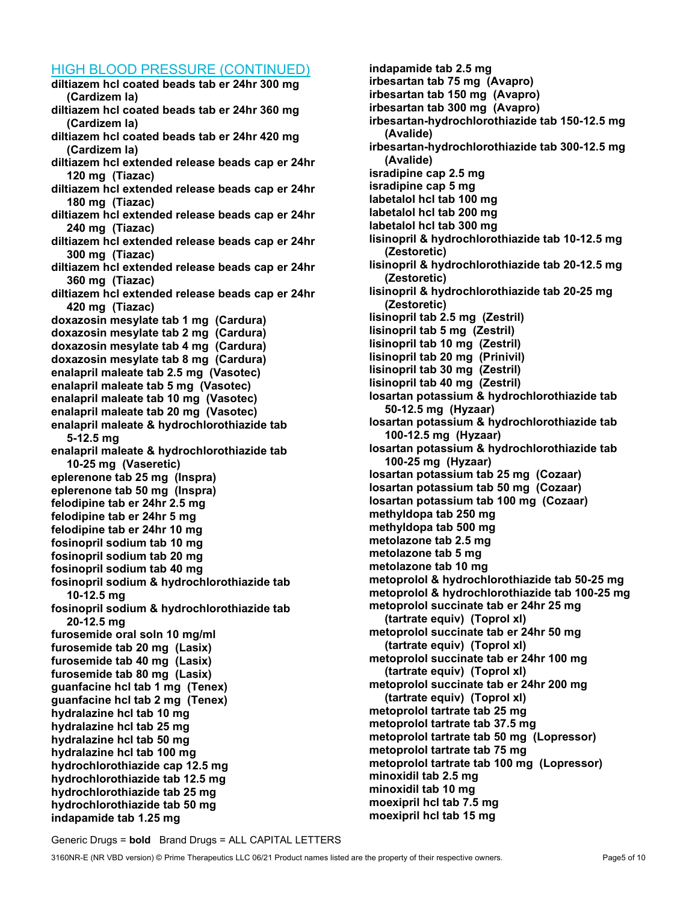#### HIGH BLOOD PRESSURE (CONTINUED)

diltiazem hcl coated beads tab er 24hr 300 mg (Cardizem la) diltiazem hcl coated beads tab er 24hr 360 mg (Cardizem la) diltiazem hcl coated beads tab er 24hr 420 mg (Cardizem la) diltiazem hcl extended release beads cap er 24hr 120 mg (Tiazac) diltiazem hcl extended release beads cap er 24hr 180 mg (Tiazac) diltiazem hcl extended release beads cap er 24hr 240 mg (Tiazac) diltiazem hcl extended release beads cap er 24hr 300 mg (Tiazac) diltiazem hcl extended release beads cap er 24hr 360 mg (Tiazac) diltiazem hcl extended release beads cap er 24hr 420 mg (Tiazac) doxazosin mesylate tab 1 mg (Cardura) doxazosin mesylate tab 2 mg (Cardura) doxazosin mesylate tab 4 mg (Cardura) doxazosin mesylate tab 8 mg (Cardura) enalapril maleate tab 2.5 mg (Vasotec) enalapril maleate tab 5 mg (Vasotec) enalapril maleate tab 10 mg (Vasotec) enalapril maleate tab 20 mg (Vasotec) enalapril maleate & hydrochlorothiazide tab 5-12.5 mg enalapril maleate & hydrochlorothiazide tab 10-25 mg (Vaseretic) eplerenone tab 25 mg (Inspra) eplerenone tab 50 mg (Inspra) felodipine tab er 24hr 2.5 mg felodipine tab er 24hr 5 mg felodipine tab er 24hr 10 mg fosinopril sodium tab 10 mg fosinopril sodium tab 20 mg fosinopril sodium tab 40 mg fosinopril sodium & hydrochlorothiazide tab 10-12.5 mg fosinopril sodium & hydrochlorothiazide tab 20-12.5 mg furosemide oral soln 10 mg/ml furosemide tab 20 mg (Lasix) furosemide tab 40 mg (Lasix) furosemide tab 80 mg (Lasix) guanfacine hcl tab 1 mg (Tenex) guanfacine hcl tab 2 mg (Tenex) hydralazine hcl tab 10 mg hydralazine hcl tab 25 mg hydralazine hcl tab 50 mg hydralazine hcl tab 100 mg hydrochlorothiazide cap 12.5 mg hydrochlorothiazide tab 12.5 mg hydrochlorothiazide tab 25 mg hydrochlorothiazide tab 50 mg indapamide tab 1.25 mg

indapamide tab 2.5 mg irbesartan tab 75 mg (Avapro) irbesartan tab 150 mg (Avapro) irbesartan tab 300 mg (Avapro) irbesartan-hydrochlorothiazide tab 150-12.5 mg (Avalide) irbesartan-hydrochlorothiazide tab 300-12.5 mg (Avalide) isradipine cap 2.5 mg isradipine cap 5 mg labetalol hcl tab 100 mg labetalol hcl tab 200 mg labetalol hcl tab 300 mg lisinopril & hydrochlorothiazide tab 10-12.5 mg (Zestoretic) lisinopril & hydrochlorothiazide tab 20-12.5 mg (Zestoretic) lisinopril & hydrochlorothiazide tab 20-25 mg (Zestoretic) lisinopril tab 2.5 mg (Zestril) lisinopril tab 5 mg (Zestril) lisinopril tab 10 mg (Zestril) lisinopril tab 20 mg (Prinivil) lisinopril tab 30 mg (Zestril) lisinopril tab 40 mg (Zestril) losartan potassium & hydrochlorothiazide tab 50-12.5 mg (Hyzaar) losartan potassium & hydrochlorothiazide tab 100-12.5 mg (Hyzaar) losartan potassium & hydrochlorothiazide tab 100-25 mg (Hyzaar) losartan potassium tab 25 mg (Cozaar) losartan potassium tab 50 mg (Cozaar) losartan potassium tab 100 mg (Cozaar) methyldopa tab 250 mg methyldopa tab 500 mg metolazone tab 2.5 mg metolazone tab 5 mg metolazone tab 10 mg metoprolol & hydrochlorothiazide tab 50-25 mg metoprolol & hydrochlorothiazide tab 100-25 mg metoprolol succinate tab er 24hr 25 mg (tartrate equiv) (Toprol xl) metoprolol succinate tab er 24hr 50 mg (tartrate equiv) (Toprol xl) metoprolol succinate tab er 24hr 100 mg (tartrate equiv) (Toprol xl) metoprolol succinate tab er 24hr 200 mg (tartrate equiv) (Toprol xl) metoprolol tartrate tab 25 mg metoprolol tartrate tab 37.5 mg metoprolol tartrate tab 50 mg (Lopressor) metoprolol tartrate tab 75 mg metoprolol tartrate tab 100 mg (Lopressor) minoxidil tab 2.5 mg minoxidil tab 10 mg moexipril hcl tab 7.5 mg moexipril hcl tab 15 mg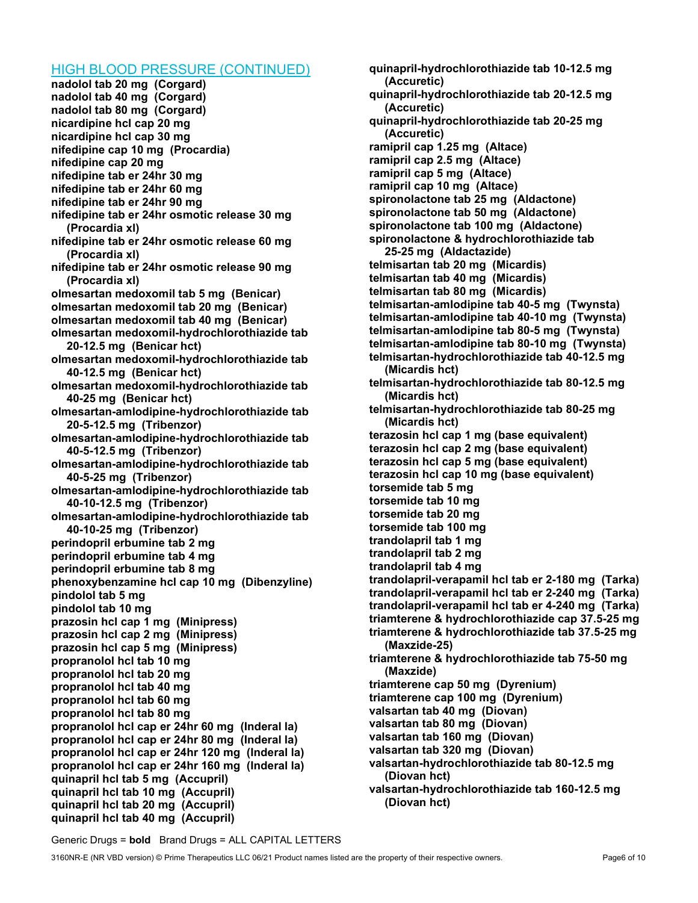#### HIGH BLOOD PRESSURE (CONTINUED)

nadolol tab 20 mg (Corgard) nadolol tab 40 mg (Corgard) nadolol tab 80 mg (Corgard) nicardipine hcl cap 20 mg nicardipine hcl cap 30 mg nifedipine cap 10 mg (Procardia) nifedipine cap 20 mg nifedipine tab er 24hr 30 mg nifedipine tab er 24hr 60 mg nifedipine tab er 24hr 90 mg nifedipine tab er 24hr osmotic release 30 mg (Procardia xl) nifedipine tab er 24hr osmotic release 60 mg (Procardia xl) nifedipine tab er 24hr osmotic release 90 mg (Procardia xl) olmesartan medoxomil tab 5 mg (Benicar) olmesartan medoxomil tab 20 mg (Benicar) olmesartan medoxomil tab 40 mg (Benicar) olmesartan medoxomil-hydrochlorothiazide tab 20-12.5 mg (Benicar hct) olmesartan medoxomil-hydrochlorothiazide tab 40-12.5 mg (Benicar hct) olmesartan medoxomil-hydrochlorothiazide tab 40-25 mg (Benicar hct) olmesartan-amlodipine-hydrochlorothiazide tab 20-5-12.5 mg (Tribenzor) olmesartan-amlodipine-hydrochlorothiazide tab 40-5-12.5 mg (Tribenzor) olmesartan-amlodipine-hydrochlorothiazide tab 40-5-25 mg (Tribenzor) olmesartan-amlodipine-hydrochlorothiazide tab 40-10-12.5 mg (Tribenzor) olmesartan-amlodipine-hydrochlorothiazide tab 40-10-25 mg (Tribenzor) perindopril erbumine tab 2 mg perindopril erbumine tab 4 mg perindopril erbumine tab 8 mg phenoxybenzamine hcl cap 10 mg (Dibenzyline) pindolol tab 5 mg pindolol tab 10 mg prazosin hcl cap 1 mg (Minipress) prazosin hcl cap 2 mg (Minipress) prazosin hcl cap 5 mg (Minipress) propranolol hcl tab 10 mg propranolol hcl tab 20 mg propranolol hcl tab 40 mg propranolol hcl tab 60 mg propranolol hcl tab 80 mg propranolol hcl cap er 24hr 60 mg (Inderal la) propranolol hcl cap er 24hr 80 mg (Inderal la) propranolol hcl cap er 24hr 120 mg (Inderal la) propranolol hcl cap er 24hr 160 mg (Inderal la) quinapril hcl tab 5 mg (Accupril) quinapril hcl tab 10 mg (Accupril) quinapril hcl tab 20 mg (Accupril) quinapril hcl tab 40 mg (Accupril)

quinapril-hydrochlorothiazide tab 10-12.5 mg (Accuretic) quinapril-hydrochlorothiazide tab 20-12.5 mg (Accuretic) quinapril-hydrochlorothiazide tab 20-25 mg (Accuretic) ramipril cap 1.25 mg (Altace) ramipril cap 2.5 mg (Altace) ramipril cap 5 mg (Altace) ramipril cap 10 mg (Altace) spironolactone tab 25 mg (Aldactone) spironolactone tab 50 mg (Aldactone) spironolactone tab 100 mg (Aldactone) spironolactone & hydrochlorothiazide tab 25-25 mg (Aldactazide) telmisartan tab 20 mg (Micardis) telmisartan tab 40 mg (Micardis) telmisartan tab 80 mg (Micardis) telmisartan-amlodipine tab 40-5 mg (Twynsta) telmisartan-amlodipine tab 40-10 mg (Twynsta) telmisartan-amlodipine tab 80-5 mg (Twynsta) telmisartan-amlodipine tab 80-10 mg (Twynsta) telmisartan-hydrochlorothiazide tab 40-12.5 mg (Micardis hct) telmisartan-hydrochlorothiazide tab 80-12.5 mg (Micardis hct) telmisartan-hydrochlorothiazide tab 80-25 mg (Micardis hct) terazosin hcl cap 1 mg (base equivalent) terazosin hcl cap 2 mg (base equivalent) terazosin hcl cap 5 mg (base equivalent) terazosin hcl cap 10 mg (base equivalent) torsemide tab 5 mg torsemide tab 10 mg torsemide tab 20 mg torsemide tab 100 mg trandolapril tab 1 mg trandolapril tab 2 mg trandolapril tab 4 mg trandolapril-verapamil hcl tab er 2-180 mg (Tarka) trandolapril-verapamil hcl tab er 2-240 mg (Tarka) trandolapril-verapamil hcl tab er 4-240 mg (Tarka) triamterene & hydrochlorothiazide cap 37.5-25 mg triamterene & hydrochlorothiazide tab 37.5-25 mg (Maxzide-25) triamterene & hydrochlorothiazide tab 75-50 mg (Maxzide) triamterene cap 50 mg (Dyrenium) triamterene cap 100 mg (Dyrenium) valsartan tab 40 mg (Diovan) valsartan tab 80 mg (Diovan) valsartan tab 160 mg (Diovan) valsartan tab 320 mg (Diovan) valsartan-hydrochlorothiazide tab 80-12.5 mg (Diovan hct) valsartan-hydrochlorothiazide tab 160-12.5 mg (Diovan hct)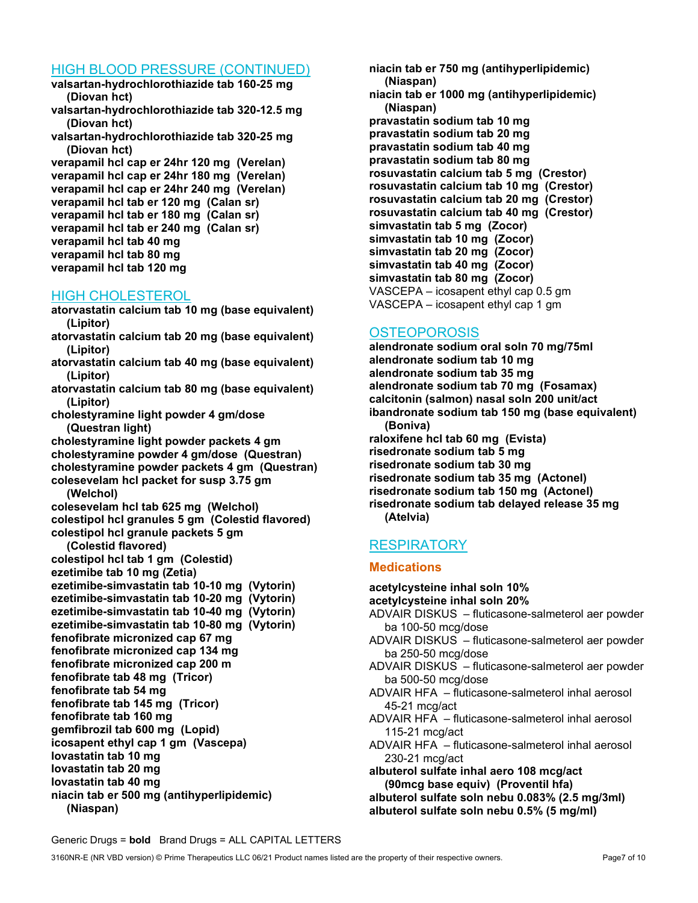## HIGH BLOOD PRESSURE (CONTINUED)

valsartan-hydrochlorothiazide tab 160-25 mg (Diovan hct)

valsartan-hydrochlorothiazide tab 320-12.5 mg (Diovan hct)

valsartan-hydrochlorothiazide tab 320-25 mg (Diovan hct)

verapamil hcl cap er 24hr 120 mg (Verelan) verapamil hcl cap er 24hr 180 mg (Verelan) verapamil hcl cap er 24hr 240 mg (Verelan) verapamil hcl tab er 120 mg (Calan sr) verapamil hcl tab er 180 mg (Calan sr) verapamil hcl tab er 240 mg (Calan sr) verapamil hcl tab 40 mg verapamil hcl tab 80 mg verapamil hcl tab 120 mg

## HIGH CHOLESTEROL

atorvastatin calcium tab 10 mg (base equivalent) (Lipitor)

- atorvastatin calcium tab 20 mg (base equivalent) (Lipitor)
- atorvastatin calcium tab 40 mg (base equivalent) (Lipitor)

atorvastatin calcium tab 80 mg (base equivalent) (Lipitor)

cholestyramine light powder 4 gm/dose (Questran light)

cholestyramine light powder packets 4 gm cholestyramine powder 4 gm/dose (Questran) cholestyramine powder packets 4 gm (Questran) colesevelam hcl packet for susp 3.75 gm

(Welchol) colesevelam hcl tab 625 mg (Welchol) colestipol hcl granules 5 gm (Colestid flavored) colestipol hcl granule packets 5 gm

(Colestid flavored)

colestipol hcl tab 1 gm (Colestid) ezetimibe tab 10 mg (Zetia) ezetimibe-simvastatin tab 10-10 mg (Vytorin) ezetimibe-simvastatin tab 10-20 mg (Vytorin) ezetimibe-simvastatin tab 10-40 mg (Vytorin) ezetimibe-simvastatin tab 10-80 mg (Vytorin) fenofibrate micronized cap 67 mg fenofibrate micronized cap 134 mg fenofibrate micronized cap 200 m fenofibrate tab 48 mg (Tricor) fenofibrate tab 54 mg fenofibrate tab 145 mg (Tricor) fenofibrate tab 160 mg gemfibrozil tab 600 mg (Lopid) icosapent ethyl cap 1 gm (Vascepa) lovastatin tab 10 mg lovastatin tab 20 mg lovastatin tab 40 mg niacin tab er 500 mg (antihyperlipidemic) (Niaspan)

niacin tab er 750 mg (antihyperlipidemic) (Niaspan) niacin tab er 1000 mg (antihyperlipidemic) (Niaspan) pravastatin sodium tab 10 mg pravastatin sodium tab 20 mg pravastatin sodium tab 40 mg pravastatin sodium tab 80 mg rosuvastatin calcium tab 5 mg (Crestor) rosuvastatin calcium tab 10 mg (Crestor) rosuvastatin calcium tab 20 mg (Crestor) rosuvastatin calcium tab 40 mg (Crestor) simvastatin tab 5 mg (Zocor) simvastatin tab 10 mg (Zocor) simvastatin tab 20 mg (Zocor) simvastatin tab 40 mg (Zocor) simvastatin tab 80 mg (Zocor) VASCEPA – icosapent ethyl cap 0.5 gm VASCEPA – icosapent ethyl cap 1 gm

## **OSTEOPOROSIS**

alendronate sodium oral soln 70 mg/75ml alendronate sodium tab 10 mg alendronate sodium tab 35 mg alendronate sodium tab 70 mg (Fosamax) calcitonin (salmon) nasal soln 200 unit/act ibandronate sodium tab 150 mg (base equivalent) (Boniva) raloxifene hcl tab 60 mg (Evista) risedronate sodium tab 5 mg risedronate sodium tab 30 mg risedronate sodium tab 35 mg (Actonel) risedronate sodium tab 150 mg (Actonel) risedronate sodium tab delayed release 35 mg (Atelvia)

# **RESPIRATORY**

#### **Medications**

acetylcysteine inhal soln 10% acetylcysteine inhal soln 20% ADVAIR DISKUS – fluticasone-salmeterol aer powder ba 100-50 mcg/dose ADVAIR DISKUS – fluticasone-salmeterol aer powder ba 250-50 mcg/dose ADVAIR DISKUS – fluticasone-salmeterol aer powder ba 500-50 mcg/dose ADVAIR HFA – fluticasone-salmeterol inhal aerosol 45-21 mcg/act ADVAIR HFA – fluticasone-salmeterol inhal aerosol 115-21 mcg/act ADVAIR HFA – fluticasone-salmeterol inhal aerosol 230-21 mcg/act albuterol sulfate inhal aero 108 mcg/act (90mcg base equiv) (Proventil hfa) albuterol sulfate soln nebu 0.083% (2.5 mg/3ml)

albuterol sulfate soln nebu 0.5% (5 mg/ml)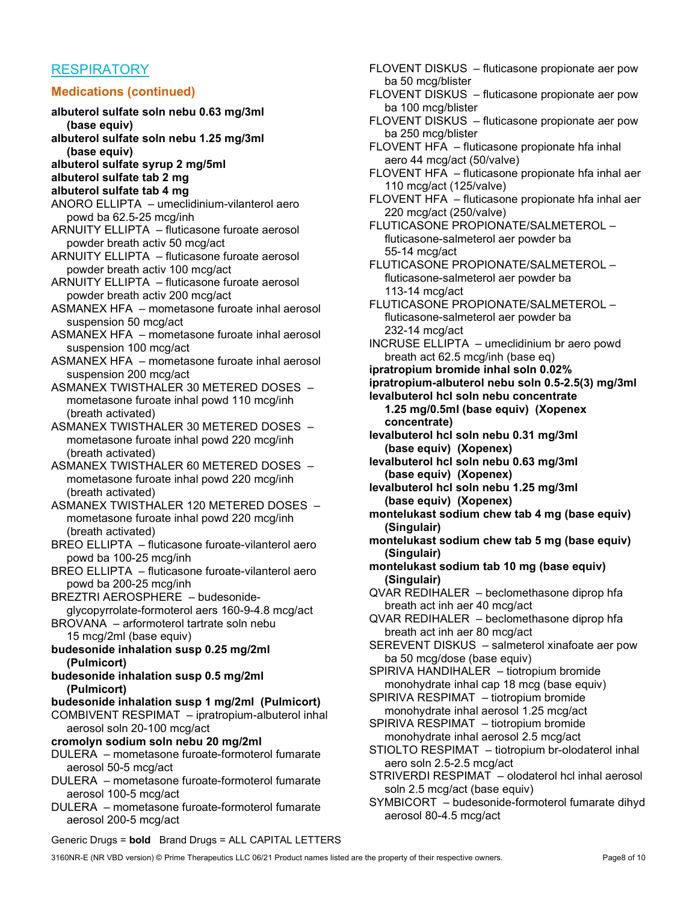## **RESPIRATORY**

#### Medications (continued)

- albuterol sulfate soln nebu 0.63 mg/3ml (base equiv)
- albuterol sulfate soln nebu 1.25 mg/3ml (base equiv)
- albuterol sulfate syrup 2 mg/5ml
- albuterol sulfate tab 2 mg
- albuterol sulfate tab 4 mg
- ANORO ELLIPTA umeclidinium-vilanterol aero powd ba 62.5-25 mcg/inh
- ARNUITY ELLIPTA fluticasone furoate aerosol powder breath activ 50 mcg/act
- ARNUITY ELLIPTA fluticasone furoate aerosol powder breath activ 100 mcg/act
- ARNUITY ELLIPTA fluticasone furoate aerosol powder breath activ 200 mcg/act
- ASMANEX HFA mometasone furoate inhal aerosol suspension 50 mcg/act
- ASMANEX HFA mometasone furoate inhal aerosol suspension 100 mcg/act
- ASMANEX HFA mometasone furoate inhal aerosol suspension 200 mcg/act

ASMANEX TWISTHALER 30 METERED DOSES – mometasone furoate inhal powd 110 mcg/inh (breath activated)

ASMANEX TWISTHALER 30 METERED DOSES – mometasone furoate inhal powd 220 mcg/inh (breath activated)

ASMANEX TWISTHALER 60 METERED DOSES – mometasone furoate inhal powd 220 mcg/inh (breath activated)

ASMANEX TWISTHALER 120 METERED DOSES – mometasone furoate inhal powd 220 mcg/inh (breath activated)

BREO ELLIPTA – fluticasone furoate-vilanterol aero powd ba 100-25 mcg/inh

BREO ELLIPTA – fluticasone furoate-vilanterol aero powd ba 200-25 mcg/inh

BREZTRI AEROSPHERE – budesonideglycopyrrolate-formoterol aers 160-9-4.8 mcg/act

BROVANA – arformoterol tartrate soln nebu 15 mcg/2ml (base equiv)

budesonide inhalation susp 0.25 mg/2ml (Pulmicort)

- budesonide inhalation susp 0.5 mg/2ml (Pulmicort)
- budesonide inhalation susp 1 mg/2ml (Pulmicort)

COMBIVENT RESPIMAT – ipratropium-albuterol inhal aerosol soln 20-100 mcg/act

#### cromolyn sodium soln nebu 20 mg/2ml

- DULERA mometasone furoate-formoterol fumarate aerosol 50-5 mcg/act
- DULERA mometasone furoate-formoterol fumarate aerosol 100-5 mcg/act
- DULERA mometasone furoate-formoterol fumarate aerosol 200-5 mcg/act

FLOVENT DISKUS – fluticasone propionate aer pow ba 50 mcg/blister

- FLOVENT DISKUS fluticasone propionate aer pow ba 100 mcg/blister
- FLOVENT DISKUS fluticasone propionate aer pow ba 250 mcg/blister
- FLOVENT HFA fluticasone propionate hfa inhal aero 44 mcg/act (50/valve)
- FLOVENT HFA fluticasone propionate hfa inhal aer 110 mcg/act (125/valve)
- FLOVENT HFA fluticasone propionate hfa inhal aer 220 mcg/act (250/valve)

FLUTICASONE PROPIONATE/SALMETEROL – fluticasone-salmeterol aer powder ba 55-14 mcg/act

FLUTICASONE PROPIONATE/SALMETEROL – fluticasone-salmeterol aer powder ba 113-14 mcg/act

- FLUTICASONE PROPIONATE/SALMETEROL fluticasone-salmeterol aer powder ba 232-14 mcg/act
- INCRUSE ELLIPTA umeclidinium br aero powd breath act 62.5 mcg/inh (base eq)
- ipratropium bromide inhal soln 0.02%

ipratropium-albuterol nebu soln 0.5-2.5(3) mg/3ml

- levalbuterol hcl soln nebu concentrate 1.25 mg/0.5ml (base equiv) (Xopenex concentrate)
- levalbuterol hcl soln nebu 0.31 mg/3ml (base equiv) (Xopenex)
- levalbuterol hcl soln nebu 0.63 mg/3ml (base equiv) (Xopenex)
- levalbuterol hcl soln nebu 1.25 mg/3ml (base equiv) (Xopenex)
- montelukast sodium chew tab 4 mg (base equiv) (Singulair)
- montelukast sodium chew tab 5 mg (base equiv) (Singulair)
- montelukast sodium tab 10 mg (base equiv) (Singulair)
- QVAR REDIHALER beclomethasone diprop hfa breath act inh aer 40 mcg/act
- QVAR REDIHALER beclomethasone diprop hfa breath act inh aer 80 mcg/act
- SEREVENT DISKUS salmeterol xinafoate aer pow ba 50 mcg/dose (base equiv)
- SPIRIVA HANDIHALER tiotropium bromide monohydrate inhal cap 18 mcg (base equiv)
- SPIRIVA RESPIMAT tiotropium bromide monohydrate inhal aerosol 1.25 mcg/act
- SPIRIVA RESPIMAT tiotropium bromide monohydrate inhal aerosol 2.5 mcg/act
- STIOLTO RESPIMAT tiotropium br-olodaterol inhal aero soln 2.5-2.5 mcg/act
- STRIVERDI RESPIMAT olodaterol hcl inhal aerosol soln 2.5 mcg/act (base equiv)
- SYMBICORT budesonide-formoterol fumarate dihyd aerosol 80-4.5 mcg/act